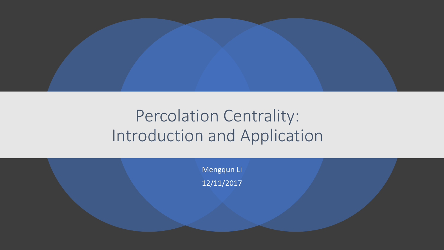

#### Percolation Centrality: Introduction and Application

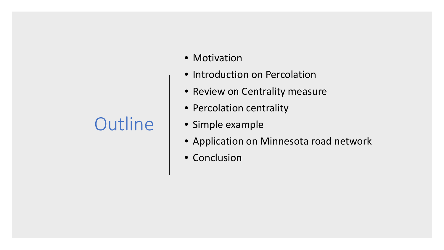# **Outline**

- Motivation
- Introduction on Percolation
- Review on Centrality measure
- Percolation centrality
- Simple example
- Application on Minnesota road network
- Conclusion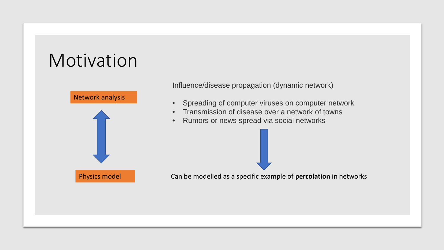# Motivation



Influence/disease propagation (dynamic network)

- Spreading of computer viruses on computer network
- Transmission of disease over a network of towns
- Rumors or news spread via social networks

Can be modelled as a specific example of **percolation** in networks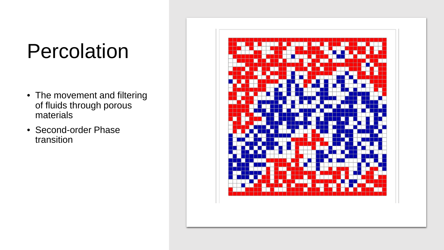# Percolation

- The movement and filtering of fluids through porous materials
- Second-order Phase transition

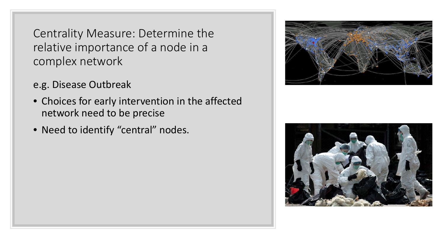Centrality Measure: Determine the relative importance of a node in a complex network

- e.g. Disease Outbreak
- Choices for early intervention in the affected network need to be precise
- Need to identify "central" nodes.



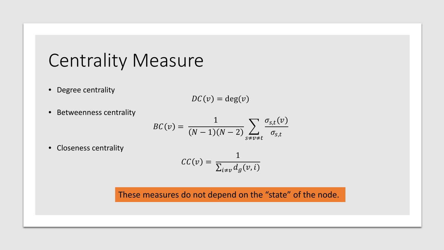#### Centrality Measure

• Degree centrality

$$
DC(v) = \deg(v)
$$

• Betweenness centrality

$$
BC(v) = \frac{1}{(N-1)(N-2)} \sum_{s \neq v \neq t} \frac{\sigma_{s,t}(v)}{\sigma_{s,t}}
$$

• Closeness centrality

$$
CC(v) = \frac{1}{\sum_{i \neq v} d_g(v, i)}
$$

These measures do not depend on the "state" of the node.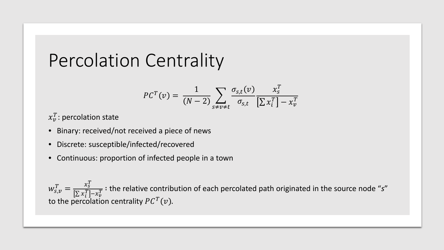#### Percolation Centrality

$$
PC^{T}(v) = \frac{1}{(N-2)} \sum_{s \neq v \neq t} \frac{\sigma_{s,t}(v)}{\sigma_{s,t}} \frac{x_s^{T}}{[\sum x_i^{T}] - x_v^{T}}
$$

 $x_{v}^{T}$ : percolation state

- Binary: received/not received a piece of news
- Discrete: susceptible/infected/recovered
- Continuous: proportion of infected people in a town

 $w_{s,v}^T = \frac{x_s^T}{\left[\sum x_i^T\right]}$  $\sum x_i^T$  –  $x_v^T$  $\frac{1}{T}$  : the relative contribution of each percolated path originated in the source node "s" to the percolation centrality  $P C^{T}(v)$ .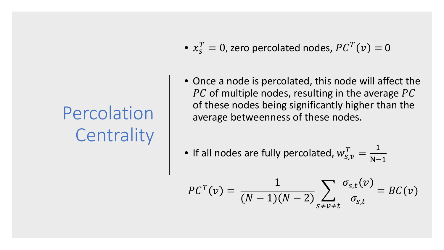# Percolation **Centrality**

- $x_s^T = 0$ , zero percolated nodes,  $P C^T(v) = 0$
- Once a node is percolated, this node will affect the  $\overline{PC}$  of multiple nodes, resulting in the average  $\overline{PC}$ of these nodes being significantly higher than the average betweenness of these nodes.
- If all nodes are fully percolated,  $w_{\scriptscriptstyle S,\mathcal{V}}^T = \frac{1}{\text{N}-1}$ N−1

$$
PC^{T}(v) = \frac{1}{(N-1)(N-2)} \sum_{s \neq v \neq t} \frac{\sigma_{s,t}(v)}{\sigma_{s,t}} = BC(v)
$$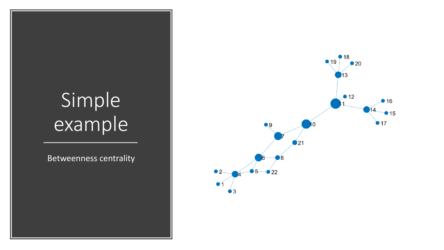# Simple example

Betweenness centrality

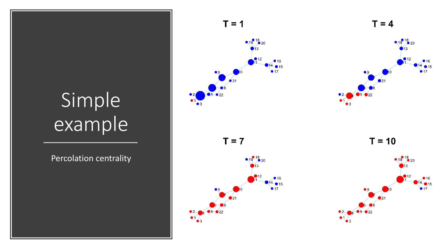# Simple example

Percolation centrality





 $T = 10$ 

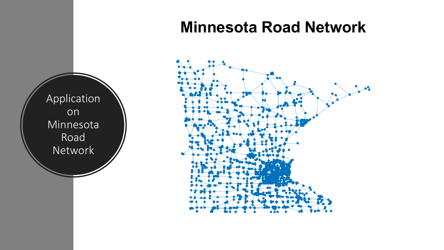#### **Minnesota Road Network**



Application<sup>'</sup> on Minnesota Road Network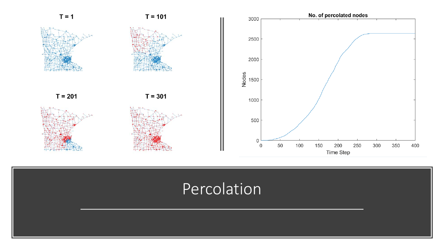

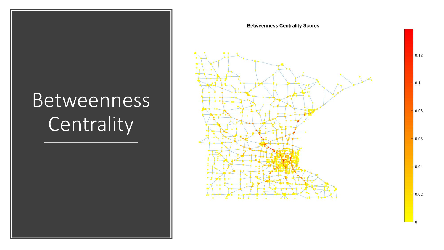# Betweenness **Centrality**



 $\Omega$